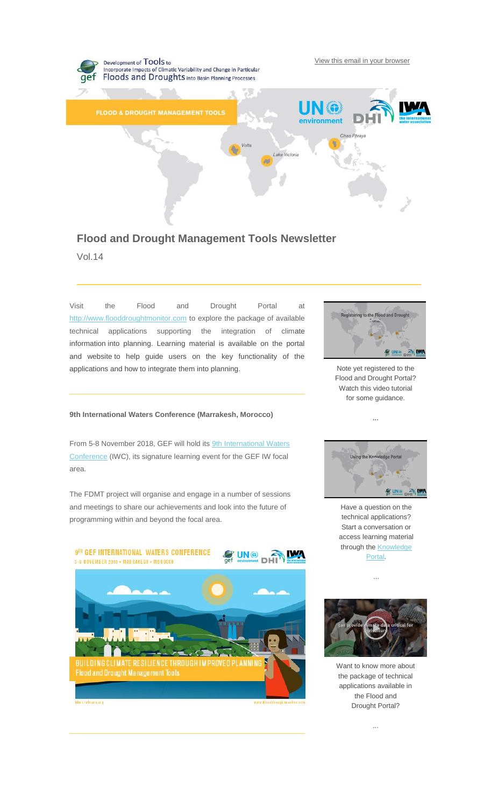

# **Flood and Drought Management Tools Newsletter** Vol.14

Visit the Flood and Drought Portal at [http://www.flooddroughtmonitor.com](https://iwlearn.us10.list-manage.com/track/click?u=8bbdb269839c989b496215cbf&id=988a6a4c36&e=be65420029) to explore the package of available technical applications supporting the integration of climate information into planning. Learning material is available on the portal and website to help guide users on the key functionality of the applications and how to integrate them into planning.

## **9th International Waters Conference (Marrakesh, Morocco)**

From 5-8 November 2018, GEF will hold its [9th International Waters](https://iwlearn.us10.list-manage.com/track/click?u=8bbdb269839c989b496215cbf&id=8abbd44c80&e=be65420029)  [Conference](https://iwlearn.us10.list-manage.com/track/click?u=8bbdb269839c989b496215cbf&id=8abbd44c80&e=be65420029) (IWC), its signature learning event for the GEF IW focal area.

The FDMT project will organise and engage in a number of sessions and meetings to share our achievements and look into the future of programming within and beyond the focal area.





Note yet registered to the Flood and Drought Portal? Watch this video tutorial for some guidance.

...



Have a question on the technical applications? Start a conversation or access learning material through the **Knowledge** [Portal.](https://iwlearn.us10.list-manage.com/track/click?u=8bbdb269839c989b496215cbf&id=cfcfa725b2&e=be65420029)



Want to know more about the package of technical applications available in the Flood and Drought Portal?

...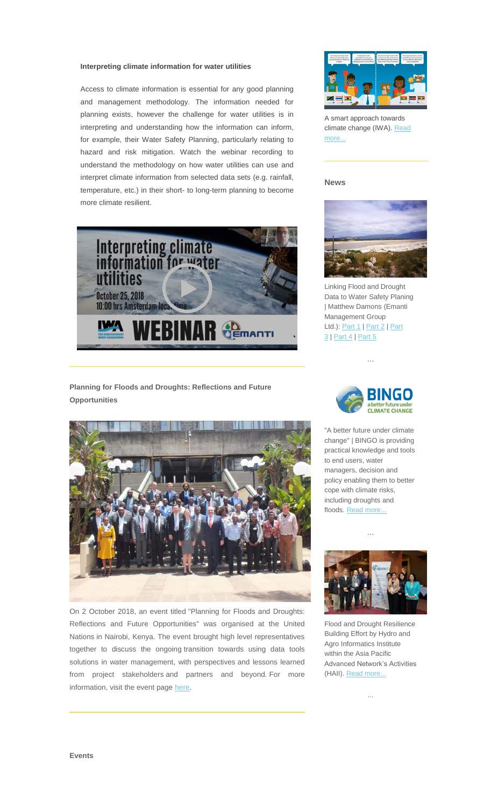#### **Interpreting climate information for water utilities**

Access to climate information is essential for any good planning and management methodology. The information needed for planning exists, however the challenge for water utilities is in interpreting and understanding how the information can inform, for example, their Water Safety Planning, particularly relating to hazard and risk mitigation. Watch the webinar recording to understand the methodology on how water utilities can use and interpret climate information from selected data sets (e.g. rainfall, temperature, etc.) in their short- to long-term planning to become more climate resilient.



# **Planning for Floods and Droughts: Reflections and Future Opportunities**



On 2 October 2018, an event titled "Planning for Floods and Droughts: Reflections and Future Opportunities" was organised at the United Nations in Nairobi, Kenya. The event brought high level representatives together to discuss the ongoing transition towards using data tools solutions in water management, with perspectives and lessons learned from project stakeholders and partners and beyond. For more information, visit the event page [here.](https://iwlearn.us10.list-manage.com/track/click?u=8bbdb269839c989b496215cbf&id=cb3462d494&e=be65420029)



A smart approach towards climate change (IWA). Read [more...](https://iwlearn.us10.list-manage.com/track/click?u=8bbdb269839c989b496215cbf&id=87451f9965&e=be65420029)

#### **News**



Linking Flood and Drought Data to Water Safety Planing | Matthew Damons (Emanti Management Group Ltd.): [Part 1](https://iwlearn.us10.list-manage.com/track/click?u=8bbdb269839c989b496215cbf&id=424a6f3996&e=be65420029) | [Part 2](https://iwlearn.us10.list-manage.com/track/click?u=8bbdb269839c989b496215cbf&id=2711673b6d&e=be65420029) | Part [3](https://iwlearn.us10.list-manage.com/track/click?u=8bbdb269839c989b496215cbf&id=3dbe35b1de&e=be65420029) | [Part 4](https://iwlearn.us10.list-manage.com/track/click?u=8bbdb269839c989b496215cbf&id=4b653c369b&e=be65420029) | [Part 5](https://iwlearn.us10.list-manage.com/track/click?u=8bbdb269839c989b496215cbf&id=1d46dd3718&e=be65420029)

...



"A better future under climate change" | BINGO is providing practical knowledge and tools to end users, water managers, decision and policy enabling them to better cope with climate risks, including droughts and floods. [Read more...](https://iwlearn.us10.list-manage.com/track/click?u=8bbdb269839c989b496215cbf&id=5675c723cf&e=be65420029)





Flood and Drought Resilience Building Effort by Hydro and Agro Informatics Institute within the Asia Pacific Advanced Network's Activities (HAII). [Read more...](https://iwlearn.us10.list-manage.com/track/click?u=8bbdb269839c989b496215cbf&id=a095f657e2&e=be65420029)

...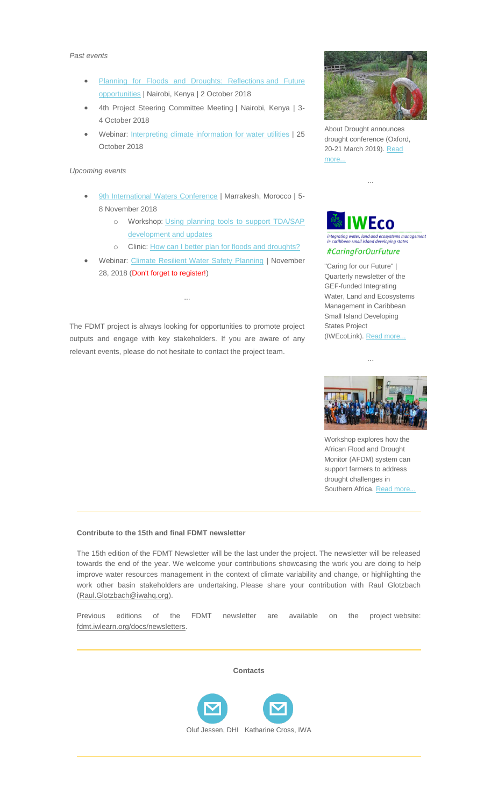#### *Past events*

- [Planning for Floods and Droughts: Reflections](https://iwlearn.us10.list-manage.com/track/click?u=8bbdb269839c989b496215cbf&id=0f2c8c6439&e=be65420029) and Future [opportunities](https://iwlearn.us10.list-manage.com/track/click?u=8bbdb269839c989b496215cbf&id=0f2c8c6439&e=be65420029) | Nairobi, Kenya | 2 October 2018
- 4th Project Steering Committee Meeting | Nairobi, Kenya | 3- 4 October 2018
- Webinar: [Interpreting climate information for water utilities](https://iwlearn.us10.list-manage.com/track/click?u=8bbdb269839c989b496215cbf&id=d82933c46b&e=be65420029) | 25 October 2018

## *Upcoming events*

- [9th International Waters Conference](https://iwlearn.us10.list-manage.com/track/click?u=8bbdb269839c989b496215cbf&id=ed4496434a&e=be65420029) | Marrakesh, Morocco | 5-8 November 2018
	- o Workshop: [Using planning tools to support TDA/SAP](https://iwlearn.us10.list-manage.com/track/click?u=8bbdb269839c989b496215cbf&id=206fdba201&e=be65420029)  [development and updates](https://iwlearn.us10.list-manage.com/track/click?u=8bbdb269839c989b496215cbf&id=206fdba201&e=be65420029)
	- o Clinic: [How can I better plan for floods and droughts?](https://iwlearn.us10.list-manage.com/track/click?u=8bbdb269839c989b496215cbf&id=5dff782e46&e=be65420029)
- Webinar: [Climate Resilient Water Safety Planning](https://iwlearn.us10.list-manage.com/track/click?u=8bbdb269839c989b496215cbf&id=dfb34c79bc&e=be65420029) | November 28, 2018 (Don't forget to register!)

The FDMT project is always looking for opportunities to promote project outputs and engage with key stakeholders. If you are aware of any relevant events, please do not hesitate to contact the project team.

...



About Drought announces drought conference (Oxford, 20-21 March 2019). Read [more...](https://iwlearn.us10.list-manage.com/track/click?u=8bbdb269839c989b496215cbf&id=57b10c2da4&e=be65420029)

...



וויה כוווסוכ<br>Dina state #CaringForOurFuture

"Caring for our Future" | Quarterly newsletter of the GEF-funded Integrating Water, Land and Ecosystems Management in Caribbean Small Island Developing States Project (IWEcoLink). [Read more..](https://iwlearn.us10.list-manage.com/track/click?u=8bbdb269839c989b496215cbf&id=bed712dab5&e=be65420029)[.](https://iwlearn.us10.list-manage.com/track/click?u=8bbdb269839c989b496215cbf&id=3c75a9585c&e=be65420029)

...



Workshop explores how the African Flood and Drought Monitor (AFDM) system can support farmers to address drought challenges in Southern Africa. [Read more...](https://iwlearn.us10.list-manage.com/track/click?u=8bbdb269839c989b496215cbf&id=24247d76c0&e=be65420029)

#### **Contribute to the 15th and final FDMT newsletter**

The 15th edition of the FDMT Newsletter will be the last under the project. The newsletter will be released towards the end of the year. We welcome your contributions showcasing the work you are doing to help improve water resources management in the context of climate variability and change, or highlighting the work other basin stakeholders are undertaking. Please share your contribution with Raul Glotzbach [\(Raul.Glotzbach@iwahq.org\)](mailto:Raul.Glotzbach@iwahq.org?subject=FDMT_Newsletter%20contribution).

Previous editions of the FDMT newsletter are available on the project website: [fdmt.iwlearn.org/docs/newsletters.](https://iwlearn.us10.list-manage.com/track/click?u=8bbdb269839c989b496215cbf&id=e291da2668&e=be65420029)

**Contacts**



[Oluf Jessen, DHI](mailto:ozj@dhigroup.com) [Katharine Cross, IWA](mailto:katharine.cross@iwahq.org)